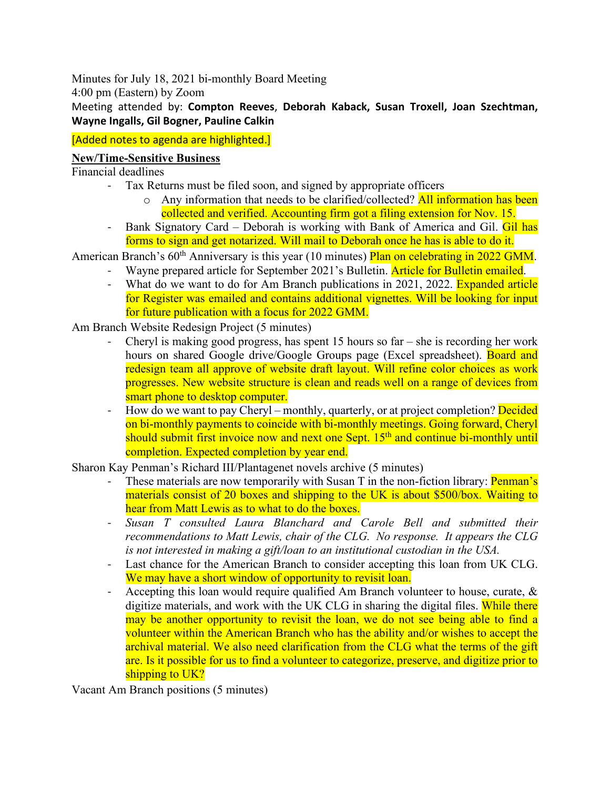Minutes for July 18, 2021 bi-monthly Board Meeting

4:00 pm (Eastern) by Zoom

Meeting attended by: **Compton Reeves**, **Deborah Kaback, Susan Troxell, Joan Szechtman, Wayne Ingalls, Gil Bogner, Pauline Calkin**

## [Added notes to agenda are highlighted.]

## **New/Time-Sensitive Business**

Financial deadlines

- Tax Returns must be filed soon, and signed by appropriate officers
	- $\circ$  Any information that needs to be clarified/collected? All information has been collected and verified. Accounting firm got a filing extension for Nov. 15.
- Bank Signatory Card Deborah is working with Bank of America and Gil. Gil has forms to sign and get notarized. Will mail to Deborah once he has is able to do it.

American Branch's 60<sup>th</sup> Anniversary is this year (10 minutes) Plan on celebrating in 2022 GMM.

- Wayne prepared article for September 2021's Bulletin. **Article for Bulletin emailed.** 
	- What do we want to do for Am Branch publications in 2021, 2022. Expanded article for Register was emailed and contains additional vignettes. Will be looking for input for future publication with a focus for 2022 GMM.

Am Branch Website Redesign Project (5 minutes)

- Cheryl is making good progress, has spent 15 hours so far she is recording her work hours on shared Google drive/Google Groups page (Excel spreadsheet). Board and redesign team all approve of website draft layout. Will refine color choices as work progresses. New website structure is clean and reads well on a range of devices from smart phone to desktop computer.
- How do we want to pay Cheryl monthly, quarterly, or at project completion? Decided on bi-monthly payments to coincide with bi-monthly meetings. Going forward, Cheryl should submit first invoice now and next one Sept. 15<sup>th</sup> and continue bi-monthly until completion. Expected completion by year end.

Sharon Kay Penman's Richard III/Plantagenet novels archive (5 minutes)

- These materials are now temporarily with Susan  $T$  in the non-fiction library: **Penman's** materials consist of 20 boxes and shipping to the UK is about \$500/box. Waiting to hear from Matt Lewis as to what to do the boxes.
- *Susan T consulted Laura Blanchard and Carole Bell and submitted their recommendations to Matt Lewis, chair of the CLG. No response. It appears the CLG is not interested in making a gift/loan to an institutional custodian in the USA.*
- Last chance for the American Branch to consider accepting this loan from UK CLG. We may have a short window of opportunity to revisit loan.
- Accepting this loan would require qualified Am Branch volunteer to house, curate, & digitize materials, and work with the UK CLG in sharing the digital files. While there may be another opportunity to revisit the loan, we do not see being able to find a volunteer within the American Branch who has the ability and/or wishes to accept the archival material. We also need clarification from the CLG what the terms of the gift are. Is it possible for us to find a volunteer to categorize, preserve, and digitize prior to shipping to UK?

Vacant Am Branch positions (5 minutes)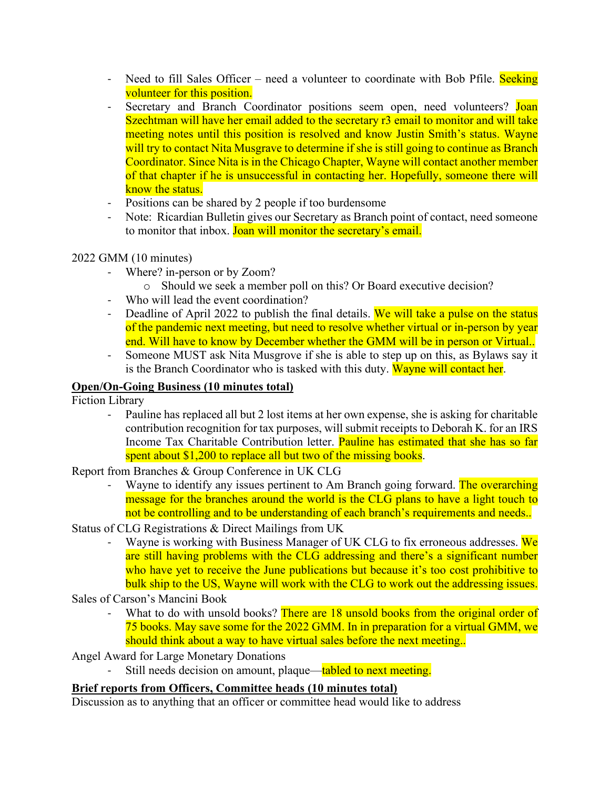- Need to fill Sales Officer need a volunteer to coordinate with Bob Pfile. Seeking volunteer for this position.
- Secretary and Branch Coordinator positions seem open, need volunteers? Joan Szechtman will have her email added to the secretary r3 email to monitor and will take meeting notes until this position is resolved and know Justin Smith's status. Wayne will try to contact Nita Musgrave to determine if she is still going to continue as Branch Coordinator. Since Nita is in the Chicago Chapter, Wayne will contact another member of that chapter if he is unsuccessful in contacting her. Hopefully, someone there will know the status.
- Positions can be shared by 2 people if too burdensome
- Note: Ricardian Bulletin gives our Secretary as Branch point of contact, need someone to monitor that inbox. Joan will monitor the secretary's email.

## 2022 GMM (10 minutes)

- Where? in-person or by Zoom?
	- o Should we seek a member poll on this? Or Board executive decision?
- Who will lead the event coordination?
- Deadline of April 2022 to publish the final details. We will take a pulse on the status of the pandemic next meeting, but need to resolve whether virtual or in-person by year end. Will have to know by December whether the GMM will be in person or Virtual..
- Someone MUST ask Nita Musgrove if she is able to step up on this, as Bylaws say it is the Branch Coordinator who is tasked with this duty. Wayne will contact her.

# **Open/On-Going Business (10 minutes total)**

Fiction Library

- Pauline has replaced all but 2 lost items at her own expense, she is asking for charitable contribution recognition for tax purposes, will submit receipts to Deborah K. for an IRS Income Tax Charitable Contribution letter. Pauline has estimated that she has so far spent about \$1,200 to replace all but two of the missing books.

Report from Branches & Group Conference in UK CLG

- Wayne to identify any issues pertinent to Am Branch going forward. The overarching message for the branches around the world is the CLG plans to have a light touch to not be controlling and to be understanding of each branch's requirements and needs..
- Status of CLG Registrations & Direct Mailings from UK
	- Wayne is working with Business Manager of UK CLG to fix erroneous addresses. We are still having problems with the CLG addressing and there's a significant number who have yet to receive the June publications but because it's too cost prohibitive to bulk ship to the US, Wayne will work with the CLG to work out the addressing issues.

Sales of Carson's Mancini Book

What to do with unsold books? There are 18 unsold books from the original order of 75 books. May save some for the 2022 GMM. In in preparation for a virtual GMM, we should think about a way to have virtual sales before the next meeting..

Angel Award for Large Monetary Donations

Still needs decision on amount, plaque—tabled to next meeting.

## **Brief reports from Officers, Committee heads (10 minutes total)**

Discussion as to anything that an officer or committee head would like to address